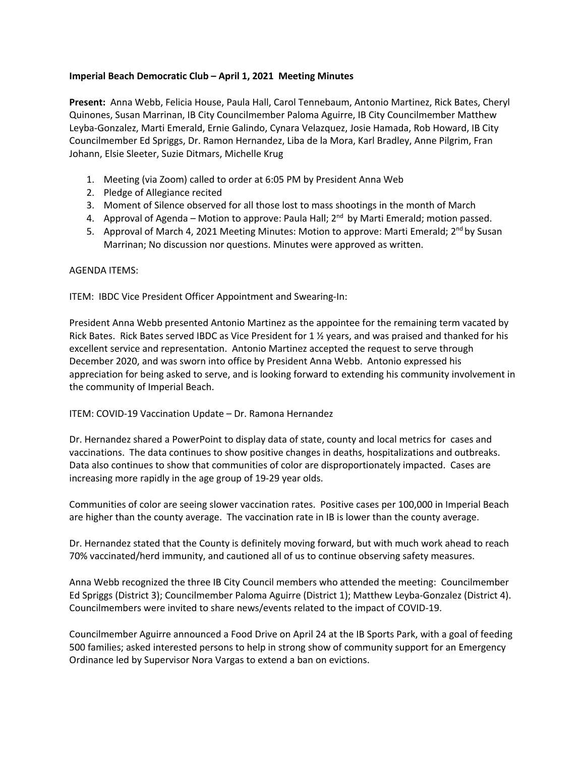## **Imperial Beach Democratic Club – April 1, 2021 Meeting Minutes**

**Present:** Anna Webb, Felicia House, Paula Hall, Carol Tennebaum, Antonio Martinez, Rick Bates, Cheryl Quinones, Susan Marrinan, IB City Councilmember Paloma Aguirre, IB City Councilmember Matthew Leyba-Gonzalez, Marti Emerald, Ernie Galindo, Cynara Velazquez, Josie Hamada, Rob Howard, IB City Councilmember Ed Spriggs, Dr. Ramon Hernandez, Liba de la Mora, Karl Bradley, Anne Pilgrim, Fran Johann, Elsie Sleeter, Suzie Ditmars, Michelle Krug

- 1. Meeting (via Zoom) called to order at 6:05 PM by President Anna Web
- 2. Pledge of Allegiance recited
- 3. Moment of Silence observed for all those lost to mass shootings in the month of March
- 4. Approval of Agenda Motion to approve: Paula Hall;  $2<sup>nd</sup>$  by Marti Emerald; motion passed.
- 5. Approval of March 4, 2021 Meeting Minutes: Motion to approve: Marti Emerald; 2<sup>nd</sup> by Susan Marrinan; No discussion nor questions. Minutes were approved as written.

## AGENDA ITEMS:

ITEM: IBDC Vice President Officer Appointment and Swearing-In:

President Anna Webb presented Antonio Martinez as the appointee for the remaining term vacated by Rick Bates. Rick Bates served IBDC as Vice President for 1 ½ years, and was praised and thanked for his excellent service and representation. Antonio Martinez accepted the request to serve through December 2020, and was sworn into office by President Anna Webb. Antonio expressed his appreciation for being asked to serve, and is looking forward to extending his community involvement in the community of Imperial Beach.

## ITEM: COVID-19 Vaccination Update – Dr. Ramona Hernandez

Dr. Hernandez shared a PowerPoint to display data of state, county and local metrics for cases and vaccinations. The data continues to show positive changes in deaths, hospitalizations and outbreaks. Data also continues to show that communities of color are disproportionately impacted. Cases are increasing more rapidly in the age group of 19-29 year olds.

Communities of color are seeing slower vaccination rates. Positive cases per 100,000 in Imperial Beach are higher than the county average. The vaccination rate in IB is lower than the county average.

Dr. Hernandez stated that the County is definitely moving forward, but with much work ahead to reach 70% vaccinated/herd immunity, and cautioned all of us to continue observing safety measures.

Anna Webb recognized the three IB City Council members who attended the meeting: Councilmember Ed Spriggs (District 3); Councilmember Paloma Aguirre (District 1); Matthew Leyba-Gonzalez (District 4). Councilmembers were invited to share news/events related to the impact of COVID-19.

Councilmember Aguirre announced a Food Drive on April 24 at the IB Sports Park, with a goal of feeding 500 families; asked interested persons to help in strong show of community support for an Emergency Ordinance led by Supervisor Nora Vargas to extend a ban on evictions.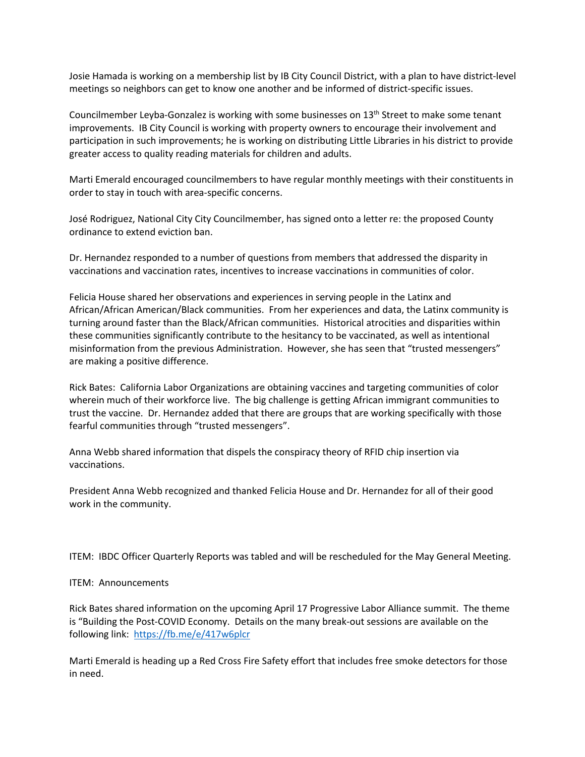Josie Hamada is working on a membership list by IB City Council District, with a plan to have district-level meetings so neighbors can get to know one another and be informed of district-specific issues.

Councilmember Leyba-Gonzalez is working with some businesses on 13<sup>th</sup> Street to make some tenant improvements. IB City Council is working with property owners to encourage their involvement and participation in such improvements; he is working on distributing Little Libraries in his district to provide greater access to quality reading materials for children and adults.

Marti Emerald encouraged councilmembers to have regular monthly meetings with their constituents in order to stay in touch with area-specific concerns.

José Rodriguez, National City City Councilmember, has signed onto a letter re: the proposed County ordinance to extend eviction ban.

Dr. Hernandez responded to a number of questions from members that addressed the disparity in vaccinations and vaccination rates, incentives to increase vaccinations in communities of color.

Felicia House shared her observations and experiences in serving people in the Latinx and African/African American/Black communities. From her experiences and data, the Latinx community is turning around faster than the Black/African communities. Historical atrocities and disparities within these communities significantly contribute to the hesitancy to be vaccinated, as well as intentional misinformation from the previous Administration. However, she has seen that "trusted messengers" are making a positive difference.

Rick Bates: California Labor Organizations are obtaining vaccines and targeting communities of color wherein much of their workforce live. The big challenge is getting African immigrant communities to trust the vaccine. Dr. Hernandez added that there are groups that are working specifically with those fearful communities through "trusted messengers".

Anna Webb shared information that dispels the conspiracy theory of RFID chip insertion via vaccinations.

President Anna Webb recognized and thanked Felicia House and Dr. Hernandez for all of their good work in the community.

ITEM: IBDC Officer Quarterly Reports was tabled and will be rescheduled for the May General Meeting.

ITEM: Announcements

Rick Bates shared information on the upcoming April 17 Progressive Labor Alliance summit. The theme is "Building the Post-COVID Economy. Details on the many break-out sessions are available on the following link: https://fb.me/e/417w6plcr

Marti Emerald is heading up a Red Cross Fire Safety effort that includes free smoke detectors for those in need.